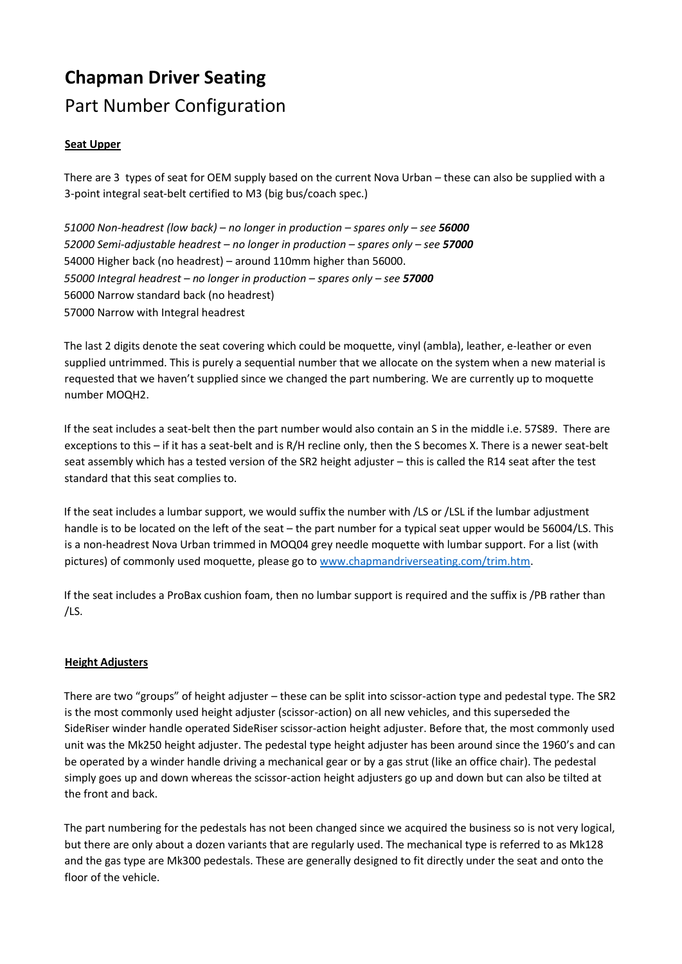## **Chapman Driver Seating**  Part Number Configuration

## **Seat Upper**

There are 3 types of seat for OEM supply based on the current Nova Urban – these can also be supplied with a 3-point integral seat-belt certified to M3 (big bus/coach spec.)

*51000 Non-headrest (low back) – no longer in production – spares only – see 56000 52000 Semi-adjustable headrest – no longer in production – spares only – see 57000* 54000 Higher back (no headrest) – around 110mm higher than 56000. *55000 Integral headrest – no longer in production – spares only – see 57000* 56000 Narrow standard back (no headrest) 57000 Narrow with Integral headrest

The last 2 digits denote the seat covering which could be moquette, vinyl (ambla), leather, e-leather or even supplied untrimmed. This is purely a sequential number that we allocate on the system when a new material is requested that we haven't supplied since we changed the part numbering. We are currently up to moquette number MOQH2.

If the seat includes a seat-belt then the part number would also contain an S in the middle i.e. 57S89. There are exceptions to this – if it has a seat-belt and is R/H recline only, then the S becomes X. There is a newer seat-belt seat assembly which has a tested version of the SR2 height adjuster – this is called the R14 seat after the test standard that this seat complies to.

If the seat includes a lumbar support, we would suffix the number with /LS or /LSL if the lumbar adjustment handle is to be located on the left of the seat – the part number for a typical seat upper would be 56004/LS. This is a non-headrest Nova Urban trimmed in MOQ04 grey needle moquette with lumbar support. For a list (with pictures) of commonly used moquette, please go to [www.chapmandriverseating.com/trim.htm.](http://www.chapmandriverseating.com/trim.htm)

If the seat includes a ProBax cushion foam, then no lumbar support is required and the suffix is /PB rather than /LS.

## **Height Adjusters**

There are two "groups" of height adjuster – these can be split into scissor-action type and pedestal type. The SR2 is the most commonly used height adjuster (scissor-action) on all new vehicles, and this superseded the SideRiser winder handle operated SideRiser scissor-action height adjuster. Before that, the most commonly used unit was the Mk250 height adjuster. The pedestal type height adjuster has been around since the 1960's and can be operated by a winder handle driving a mechanical gear or by a gas strut (like an office chair). The pedestal simply goes up and down whereas the scissor-action height adjusters go up and down but can also be tilted at the front and back.

The part numbering for the pedestals has not been changed since we acquired the business so is not very logical, but there are only about a dozen variants that are regularly used. The mechanical type is referred to as Mk128 and the gas type are Mk300 pedestals. These are generally designed to fit directly under the seat and onto the floor of the vehicle.